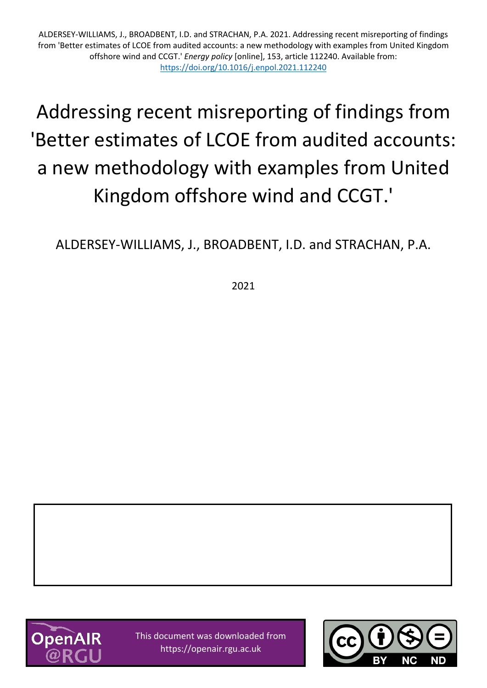ALDERSEY-WILLIAMS, J., BROADBENT, I.D. and STRACHAN, P.A. 2021. Addressing recent misreporting of findings from 'Better estimates of LCOE from audited accounts: a new methodology with examples from United Kingdom offshore wind and CCGT.' *Energy policy* [online], 153, article 112240. Available from: <https://doi.org/10.1016/j.enpol.2021.112240>

# Addressing recent misreporting of findings from 'Better estimates of LCOE from audited accounts: a new methodology with examples from United Kingdom offshore wind and CCGT.'

ALDERSEY-WILLIAMS, J., BROADBENT, I.D. and STRACHAN, P.A.

2021



This document was downloaded from https://openair.rgu.ac.uk

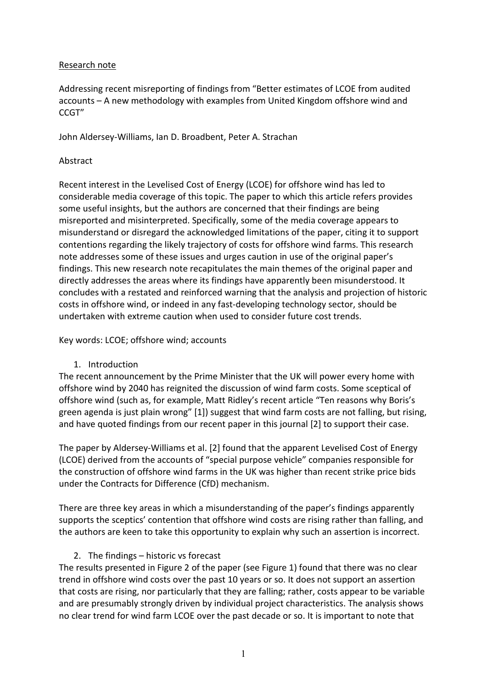#### Research note

Addressing recent misreporting of findings from "Better estimates of LCOE from audited accounts – A new methodology with examples from United Kingdom offshore wind and CCGT"

John Aldersey-Williams, Ian D. Broadbent, Peter A. Strachan

#### Abstract

Recent interest in the Levelised Cost of Energy (LCOE) for offshore wind has led to considerable media coverage of this topic. The paper to which this article refers provides some useful insights, but the authors are concerned that their findings are being misreported and misinterpreted. Specifically, some of the media coverage appears to misunderstand or disregard the acknowledged limitations of the paper, citing it to support contentions regarding the likely trajectory of costs for offshore wind farms. This research note addresses some of these issues and urges caution in use of the original paper's findings. This new research note recapitulates the main themes of the original paper and directly addresses the areas where its findings have apparently been misunderstood. It concludes with a restated and reinforced warning that the analysis and projection of historic costs in offshore wind, or indeed in any fast-developing technology sector, should be undertaken with extreme caution when used to consider future cost trends.

Key words: LCOE; offshore wind; accounts

1. Introduction

The recent announcement by the Prime Minister that the UK will power every home with offshore wind by 2040 has reignited the discussion of wind farm costs. Some sceptical of offshore wind (such as, for example, Matt Ridley's recent article "Ten reasons why Boris's green agenda is just plain wrong" [1]) suggest that wind farm costs are not falling, but rising, and have quoted findings from our recent paper in this journal [2] to support their case.

The paper by Aldersey-Williams et al. [2] found that the apparent Levelised Cost of Energy (LCOE) derived from the accounts of "special purpose vehicle" companies responsible for the construction of offshore wind farms in the UK was higher than recent strike price bids under the Contracts for Difference (CfD) mechanism.

There are three key areas in which a misunderstanding of the paper's findings apparently supports the sceptics' contention that offshore wind costs are rising rather than falling, and the authors are keen to take this opportunity to explain why such an assertion is incorrect.

## 2. The findings – historic vs forecast

The results presented in Figure 2 of the paper (see Figure 1) found that there was no clear trend in offshore wind costs over the past 10 years or so. It does not support an assertion that costs are rising, nor particularly that they are falling; rather, costs appear to be variable and are presumably strongly driven by individual project characteristics. The analysis shows no clear trend for wind farm LCOE over the past decade or so. It is important to note that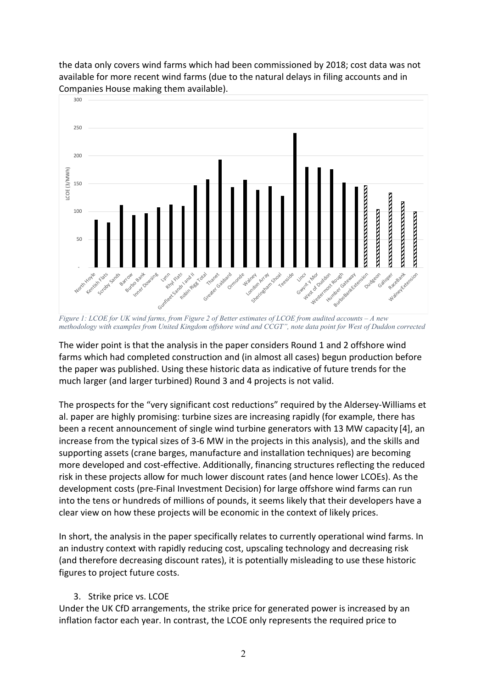

the data only covers wind farms which had been commissioned by 2018; cost data was not available for more recent wind farms (due to the natural delays in filing accounts and in Companies House making them available).

*Figure 1: LCOE for UK wind farms, from Figure 2 of Better estimates of LCOE from audited accounts – A new methodology with examples from United Kingdom offshore wind and CCGT", note data point for West of Duddon corrected*

The wider point is that the analysis in the paper considers Round 1 and 2 offshore wind farms which had completed construction and (in almost all cases) begun production before the paper was published. Using these historic data as indicative of future trends for the much larger (and larger turbined) Round 3 and 4 projects is not valid.

The prospects for the "very significant cost reductions" required by the Aldersey-Williams et al. paper are highly promising: turbine sizes are increasing rapidly (for example, there has been a recent announcement of single wind turbine generators with 13 MW capacity [4], an increase from the typical sizes of 3-6 MW in the projects in this analysis), and the skills and supporting assets (crane barges, manufacture and installation techniques) are becoming more developed and cost-effective. Additionally, financing structures reflecting the reduced risk in these projects allow for much lower discount rates (and hence lower LCOEs). As the development costs (pre-Final Investment Decision) for large offshore wind farms can run into the tens or hundreds of millions of pounds, it seems likely that their developers have a clear view on how these projects will be economic in the context of likely prices.

In short, the analysis in the paper specifically relates to currently operational wind farms. In an industry context with rapidly reducing cost, upscaling technology and decreasing risk (and therefore decreasing discount rates), it is potentially misleading to use these historic figures to project future costs.

## 3. Strike price vs. LCOE

Under the UK CfD arrangements, the strike price for generated power is increased by an inflation factor each year. In contrast, the LCOE only represents the required price to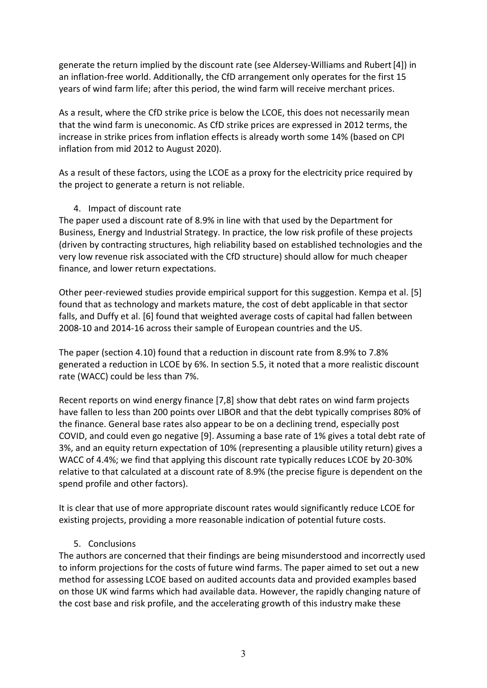generate the return implied by the discount rate (see Aldersey-Williams and Rubert[4]) in an inflation-free world. Additionally, the CfD arrangement only operates for the first 15 years of wind farm life; after this period, the wind farm will receive merchant prices.

As a result, where the CfD strike price is below the LCOE, this does not necessarily mean that the wind farm is uneconomic. As CfD strike prices are expressed in 2012 terms, the increase in strike prices from inflation effects is already worth some 14% (based on CPI inflation from mid 2012 to August 2020).

As a result of these factors, using the LCOE as a proxy for the electricity price required by the project to generate a return is not reliable.

## 4. Impact of discount rate

The paper used a discount rate of 8.9% in line with that used by the Department for Business, Energy and Industrial Strategy. In practice, the low risk profile of these projects (driven by contracting structures, high reliability based on established technologies and the very low revenue risk associated with the CfD structure) should allow for much cheaper finance, and lower return expectations.

Other peer-reviewed studies provide empirical support for this suggestion. Kempa et al. [5] found that as technology and markets mature, the cost of debt applicable in that sector falls, and Duffy et al. [6] found that weighted average costs of capital had fallen between 2008-10 and 2014-16 across their sample of European countries and the US.

The paper (section 4.10) found that a reduction in discount rate from 8.9% to 7.8% generated a reduction in LCOE by 6%. In section 5.5, it noted that a more realistic discount rate (WACC) could be less than 7%.

Recent reports on wind energy finance [7,8] show that debt rates on wind farm projects have fallen to less than 200 points over LIBOR and that the debt typically comprises 80% of the finance. General base rates also appear to be on a declining trend, especially post COVID, and could even go negative [9]. Assuming a base rate of 1% gives a total debt rate of 3%, and an equity return expectation of 10% (representing a plausible utility return) gives a WACC of 4.4%; we find that applying this discount rate typically reduces LCOE by 20-30% relative to that calculated at a discount rate of 8.9% (the precise figure is dependent on the spend profile and other factors).

It is clear that use of more appropriate discount rates would significantly reduce LCOE for existing projects, providing a more reasonable indication of potential future costs.

## 5. Conclusions

The authors are concerned that their findings are being misunderstood and incorrectly used to inform projections for the costs of future wind farms. The paper aimed to set out a new method for assessing LCOE based on audited accounts data and provided examples based on those UK wind farms which had available data. However, the rapidly changing nature of the cost base and risk profile, and the accelerating growth of this industry make these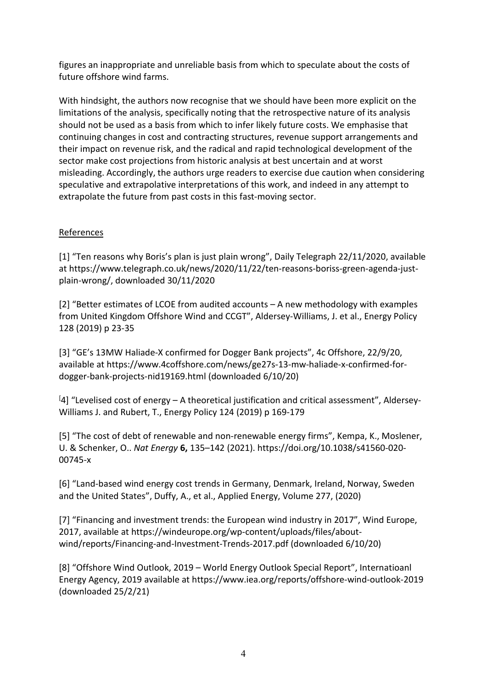figures an inappropriate and unreliable basis from which to speculate about the costs of future offshore wind farms.

With hindsight, the authors now recognise that we should have been more explicit on the limitations of the analysis, specifically noting that the retrospective nature of its analysis should not be used as a basis from which to infer likely future costs. We emphasise that continuing changes in cost and contracting structures, revenue support arrangements and their impact on revenue risk, and the radical and rapid technological development of the sector make cost projections from historic analysis at best uncertain and at worst misleading. Accordingly, the authors urge readers to exercise due caution when considering speculative and extrapolative interpretations of this work, and indeed in any attempt to extrapolate the future from past costs in this fast-moving sector.

## References

[1] "Ten reasons why Boris's plan is just plain wrong", Daily Telegraph 22/11/2020, available at https://www.telegraph.co.uk/news/2020/11/22/ten-reasons-boriss-green-agenda-justplain-wrong/, downloaded 30/11/2020

[2] "Better estimates of LCOE from audited accounts – A new methodology with examples from United Kingdom Offshore Wind and CCGT", Aldersey-Williams, J. et al., Energy Policy 128 (2019) p 23-35

[3] "GE's 13MW Haliade-X confirmed for Dogger Bank projects", 4c Offshore, 22/9/20, available at https://www.4coffshore.com/news/ge27s-13-mw-haliade-x-confirmed-fordogger-bank-projects-nid19169.html (downloaded 6/10/20)

<sup>[4]</sup> "Levelised cost of energy - A theoretical justification and critical assessment", Aldersey-Williams J. and Rubert, T., Energy Policy 124 (2019) p 169-179

[5] "The cost of debt of renewable and non-renewable energy firms", Kempa, K., Moslener, U. & Schenker, O.. *Nat Energy* **6,** 135–142 (2021). https://doi.org/10.1038/s41560-020- 00745-x

[6] "Land-based wind energy cost trends in Germany, Denmark, Ireland, Norway, Sweden and the United States", Duffy, A., et al., Applied Energy, Volume 277, (2020)

[7] "Financing and investment trends: the European wind industry in 2017", Wind Europe, 2017, available at https://windeurope.org/wp-content/uploads/files/aboutwind/reports/Financing-and-Investment-Trends-2017.pdf (downloaded 6/10/20)

[8] "Offshore Wind Outlook, 2019 – World Energy Outlook Special Report", Internatioanl Energy Agency, 2019 available at https://www.iea.org/reports/offshore-wind-outlook-2019 (downloaded 25/2/21)